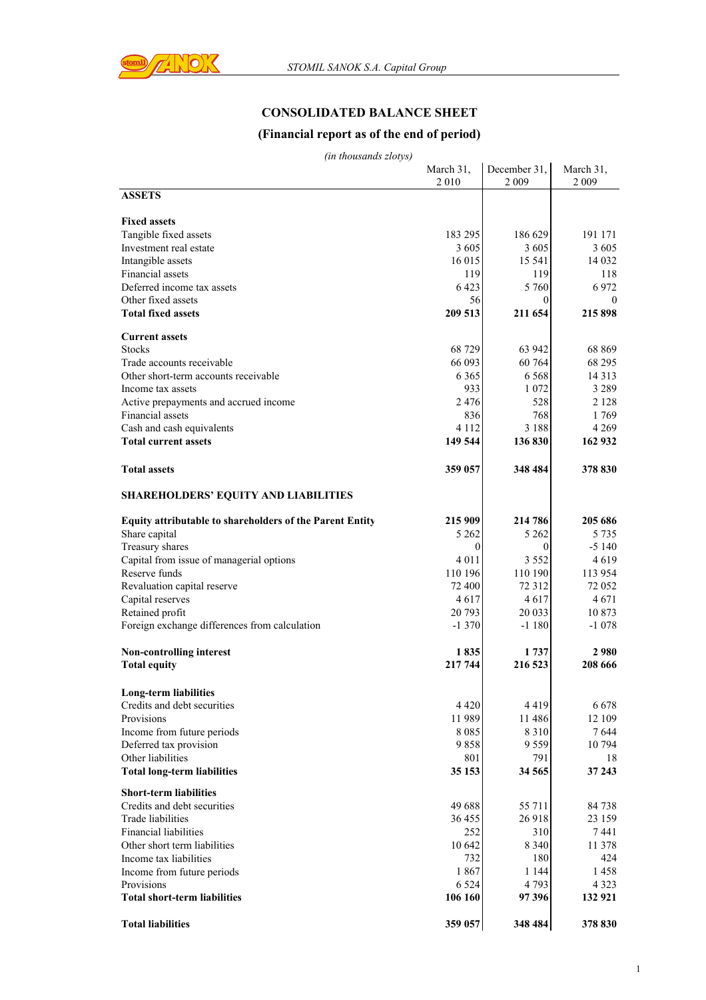

# **CONSOLIDATED BALANCE SHEET**

## **(Financial report as of the end of period)**

| un inousunus 2101ys)                                            | March 31, | December 31, | March 31, |
|-----------------------------------------------------------------|-----------|--------------|-----------|
| <b>ASSETS</b>                                                   | 2010      | 2 0 0 9      | 2 0 0 9   |
|                                                                 |           |              |           |
| <b>Fixed assets</b>                                             |           |              |           |
| Tangible fixed assets                                           | 183 295   | 186 629      | 191 171   |
| Investment real estate                                          | 3 6 0 5   | 3 6 0 5      | 3 605     |
| Intangible assets                                               | 16 015    | 15 541       | 14 0 32   |
| Financial assets                                                | 119       | 119          | 118       |
| Deferred income tax assets                                      | 6423      | 5 7 6 0      | 6972      |
| Other fixed assets                                              | 56        | $\Omega$     | $\theta$  |
| <b>Total fixed assets</b>                                       | 209 513   | 211 654      | 215898    |
| <b>Current assets</b>                                           |           |              |           |
| <b>Stocks</b>                                                   | 68729     | 63 942       | 68 869    |
| Trade accounts receivable                                       | 66 093    | 60 764       | 68 295    |
| Other short-term accounts receivable                            | 6 3 6 5   | 6 5 6 8      | 14 3 13   |
| Income tax assets                                               | 933       | 1 0 7 2      | 3 2 8 9   |
| Active prepayments and accrued income                           | 2476      | 528          | 2 1 2 8   |
| Financial assets                                                | 836       | 768          | 1769      |
| Cash and cash equivalents                                       | 4 1 1 2   | 3 1 8 8      | 4 2 6 9   |
| <b>Total current assets</b>                                     | 149 544   | 136 830      | 162 932   |
| <b>Total assets</b>                                             | 359 057   | 348 484      | 378 830   |
| <b>SHAREHOLDERS' EQUITY AND LIABILITIES</b>                     |           |              |           |
| <b>Equity attributable to shareholders of the Parent Entity</b> | 215 909   | 214 786      | 205 686   |
| Share capital                                                   | 5 2 6 2   | 5 2 6 2      | 5 7 3 5   |
| Treasury shares                                                 | $\theta$  | 0            | $-5140$   |
| Capital from issue of managerial options                        | 4 0 1 1   | 3 5 5 2      | 4619      |
| Reserve funds                                                   | 110 196   | 110 190      | 113 954   |
|                                                                 |           |              |           |
| Revaluation capital reserve                                     | 72 400    | 72 3 12      | 72 052    |
| Capital reserves                                                | 4617      | 4 617        | 4671      |
| Retained profit                                                 | 20 793    | 20 033       | 10 873    |
| Foreign exchange differences from calculation                   | $-1370$   | $-1180$      | $-1078$   |
| <b>Non-controlling interest</b>                                 | 1835      | 1737         | 2980      |
| <b>Total equity</b>                                             | 217 744   | 216 523      | 208 666   |
| <b>Long-term liabilities</b>                                    |           |              |           |
| Credits and debt securities                                     | 4 4 2 0   | 4419         | 6678      |
| Provisions                                                      | 11 989    | 11 486       | 12 109    |
| Income from future periods                                      | 8085      | 8 3 1 0      | 7644      |
| Deferred tax provision                                          | 9858      | 9559         | 10 794    |
| Other liabilities                                               | 801       | 791          | 18        |
| <b>Total long-term liabilities</b>                              | 35 153    | 34 565       | 37 243    |
| <b>Short-term liabilities</b>                                   |           |              |           |
| Credits and debt securities                                     | 49 688    | 55 711       | 84 738    |
| Trade liabilities                                               | 36 455    | 26918        | 23 159    |
| <b>Financial liabilities</b>                                    | 252       | 310          | 7441      |
| Other short term liabilities                                    | 10 642    | 8 3 4 0      | 11 378    |
| Income tax liabilities                                          | 732       | 180          | 424       |
| Income from future periods                                      | 1867      | 1 144        | 1458      |
| Provisions                                                      | 6 5 2 4   | 4 7 9 3      | 4 3 2 3   |
| <b>Total short-term liabilities</b>                             | 106 160   | 97 396       | 132 921   |
| <b>Total liabilities</b>                                        | 359 057   | 348 484      | 378 830   |
|                                                                 |           |              |           |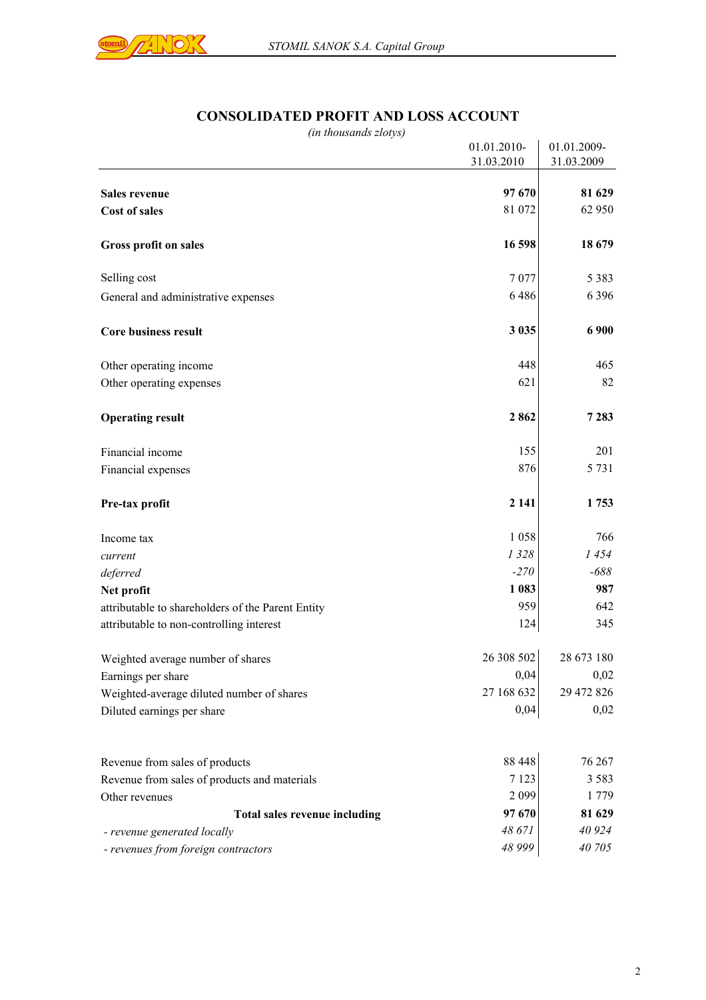

# **CONSOLIDATED PROFIT AND LOSS ACCOUNT**

| (in thousands zlotys)                             |             |             |
|---------------------------------------------------|-------------|-------------|
|                                                   | 01.01.2010- | 01.01.2009- |
|                                                   | 31.03.2010  | 31.03.2009  |
| <b>Sales revenue</b>                              | 97 670      | 81 629      |
| <b>Cost of sales</b>                              | 81 072      | 62 950      |
|                                                   |             |             |
| Gross profit on sales                             | 16 598      | 18 679      |
| Selling cost                                      | 7077        | 5 3 8 3     |
| General and administrative expenses               | 6486        | 6 3 9 6     |
| <b>Core business result</b>                       | 3 0 35      | 6 900       |
| Other operating income                            | 448         | 465         |
| Other operating expenses                          | 621         | 82          |
| <b>Operating result</b>                           | 2862        | 7 2 8 3     |
| Financial income                                  | 155         | 201         |
| Financial expenses                                | 876         | 5 7 3 1     |
| Pre-tax profit                                    | 2 1 4 1     | 1753        |
| Income tax                                        | 1058        | 766         |
| current                                           | 1328        | 1454        |
| deferred                                          | $-270$      | $-688$      |
| Net profit                                        | 1 083       | 987         |
| attributable to shareholders of the Parent Entity | 959         | 642         |
| attributable to non-controlling interest          | 124         | 345         |
| Weighted average number of shares                 | 26 308 502  | 28 673 180  |
| Earnings per share                                | 0,04        | 0,02        |
| Weighted-average diluted number of shares         | 27 168 632  | 29 472 826  |
| Diluted earnings per share                        | 0,04        | 0,02        |
| Revenue from sales of products                    | 88 448      | 76 267      |
| Revenue from sales of products and materials      | 7 1 2 3     | 3 5 8 3     |
| Other revenues                                    | 2099        | 1779        |
| Total sales revenue including                     | 97 670      | 81 629      |
| - revenue generated locally                       | 48 671      | 40 9 24     |
| - revenues from foreign contractors               | 48 999      | 40 705      |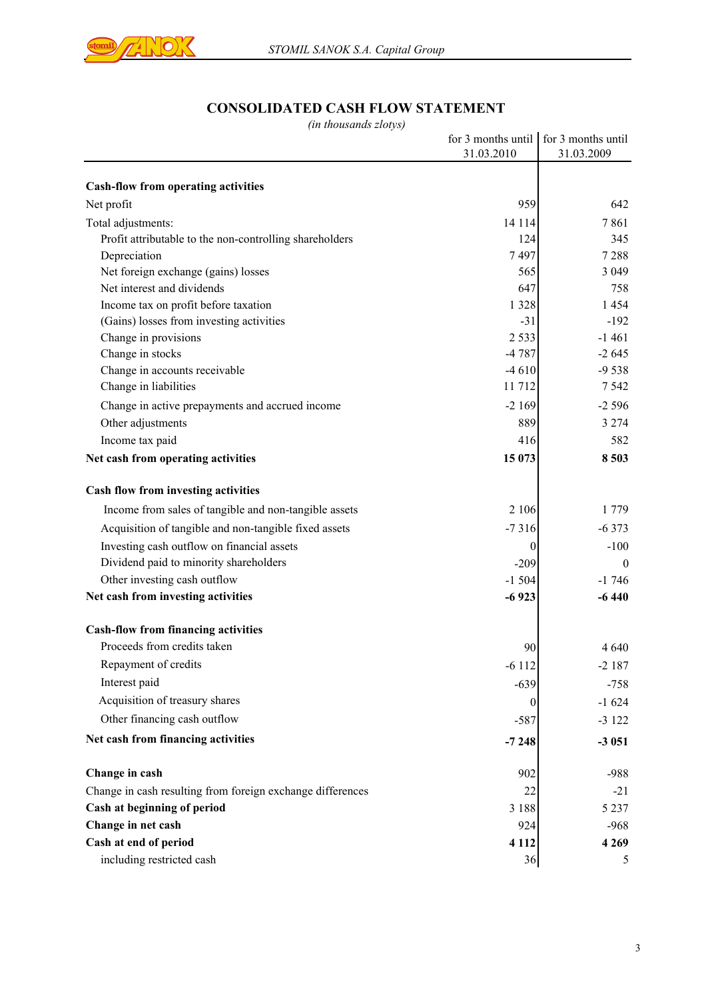

# **CONSOLIDATED CASH FLOW STATEMENT**

|                                                            | 31.03.2010       | for 3 months until for 3 months until<br>31.03.2009 |
|------------------------------------------------------------|------------------|-----------------------------------------------------|
|                                                            |                  |                                                     |
| <b>Cash-flow from operating activities</b>                 |                  |                                                     |
| Net profit                                                 | 959              | 642                                                 |
| Total adjustments:                                         | 14 114           | 7861                                                |
| Profit attributable to the non-controlling shareholders    | 124              | 345                                                 |
| Depreciation                                               | 7497             | 7288                                                |
| Net foreign exchange (gains) losses                        | 565              | 3 0 4 9                                             |
| Net interest and dividends                                 | 647              | 758                                                 |
| Income tax on profit before taxation                       | 1 3 2 8          | 1454                                                |
| (Gains) losses from investing activities                   | $-31$            | $-192$                                              |
| Change in provisions                                       | 2 5 3 3          | $-1461$                                             |
| Change in stocks                                           | $-4787$          | $-2645$                                             |
| Change in accounts receivable                              | $-4610$          | $-9538$                                             |
| Change in liabilities                                      | 11712            | 7 5 4 2                                             |
| Change in active prepayments and accrued income            | $-2169$          | $-2596$                                             |
| Other adjustments                                          | 889              | 3 2 7 4                                             |
| Income tax paid                                            | 416              | 582                                                 |
| Net cash from operating activities                         | 15 073           | 8 5 0 3                                             |
| Cash flow from investing activities                        |                  |                                                     |
| Income from sales of tangible and non-tangible assets      | 2 1 0 6          | 1 7 7 9                                             |
| Acquisition of tangible and non-tangible fixed assets      | $-7316$          | $-6373$                                             |
| Investing cash outflow on financial assets                 | 0                | $-100$                                              |
| Dividend paid to minority shareholders                     | $-209$           | $\theta$                                            |
| Other investing cash outflow                               | $-1504$          | $-1746$                                             |
| Net cash from investing activities                         | $-6923$          | $-6440$                                             |
| <b>Cash-flow from financing activities</b>                 |                  |                                                     |
| Proceeds from credits taken                                | 90               | 4 6 4 0                                             |
| Repayment of credits                                       | $-6112$          | 2 1 8 7                                             |
| Interest paid                                              | $-639$           | $-758$                                              |
| Acquisition of treasury shares                             | $\boldsymbol{0}$ | $-1624$                                             |
| Other financing cash outflow                               | $-587$           | $-3122$                                             |
| Net cash from financing activities                         |                  |                                                     |
|                                                            | $-7248$          | $-3051$                                             |
| Change in cash                                             | 902              | $-988$                                              |
| Change in cash resulting from foreign exchange differences | 22               | $-21$                                               |
| Cash at beginning of period                                | 3 1 8 8          | 5 2 3 7                                             |
| Change in net cash                                         | 924              | $-968$                                              |
| Cash at end of period                                      | 4 1 1 2          | 4 2 6 9                                             |
| including restricted cash                                  | 36               | 5                                                   |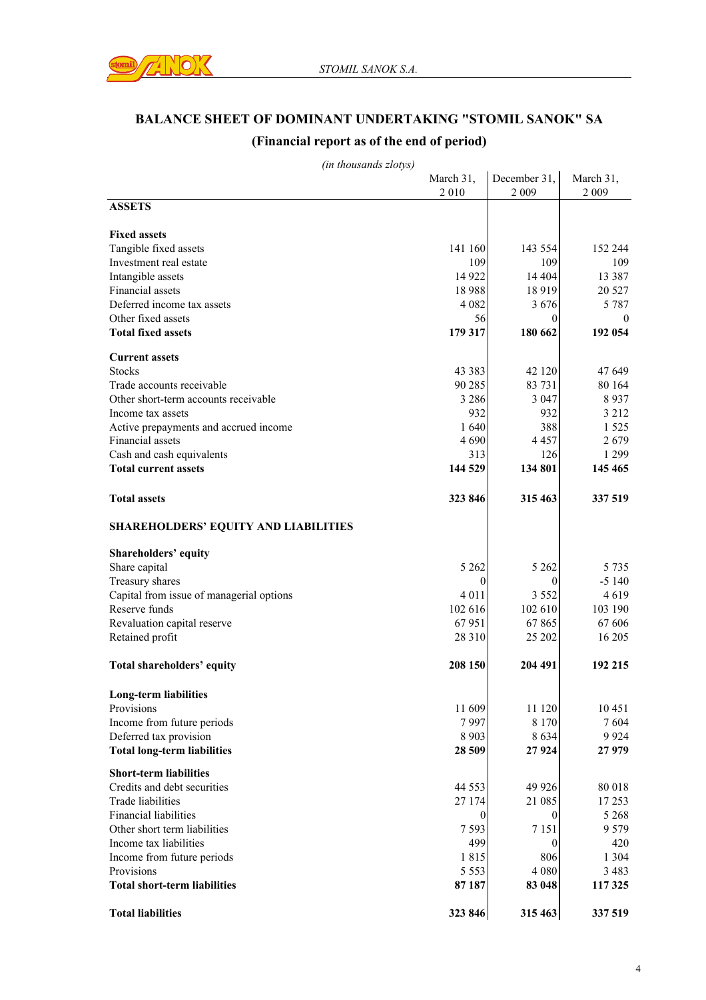

#### **BALANCE SHEET OF DOMINANT UNDERTAKING "STOMIL SANOK" SA**

## **(Financial report as of the end of period)**

|                                                           | March 31,    | December 31, | March 31, |
|-----------------------------------------------------------|--------------|--------------|-----------|
|                                                           | 2010         | 2009         | 2009      |
| <b>ASSETS</b>                                             |              |              |           |
| <b>Fixed assets</b>                                       |              |              |           |
| Tangible fixed assets                                     | 141 160      | 143 554      | 152 244   |
| Investment real estate                                    | 109          | 109          | 109       |
| Intangible assets                                         | 14 9 22      | 14 4 04      | 13 3 8 7  |
| Financial assets                                          | 18988        | 18 9 19      | 20 5 27   |
| Deferred income tax assets                                | 4 0 8 2      | 3676         | 5 7 8 7   |
| Other fixed assets                                        | 56           | $\theta$     | $\theta$  |
| <b>Total fixed assets</b>                                 | 179 317      | 180 662      | 192 054   |
|                                                           |              |              |           |
| <b>Current assets</b>                                     |              |              |           |
| <b>Stocks</b>                                             | 43 3 8 3     | 42 120       | 47 649    |
| Trade accounts receivable                                 | 90 285       | 83 731       | 80 164    |
| Other short-term accounts receivable                      | 3 2 8 6      | 3 0 4 7      | 8 9 3 7   |
| Income tax assets                                         | 932          | 932          | 3 2 1 2   |
| Active prepayments and accrued income                     | 1640         | 388          | 1 5 2 5   |
| Financial assets                                          | 4690         | 4 4 5 7      | 2679      |
| Cash and cash equivalents                                 | 313          | 126          | 1 2 9 9   |
| <b>Total current assets</b>                               | 144 529      | 134 801      | 145 465   |
|                                                           |              |              |           |
| <b>Total assets</b>                                       | 323 846      | 315 463      | 337 519   |
| <b>SHAREHOLDERS' EQUITY AND LIABILITIES</b>               |              |              |           |
|                                                           |              |              |           |
| Shareholders' equity                                      |              |              | 5 7 3 5   |
| Share capital                                             | 5 2 6 2      | 5 2 6 2      | $-5140$   |
| Treasury shares                                           | $\theta$     | 0            |           |
| Capital from issue of managerial options<br>Reserve funds | 4 0 1 1      | 3 5 5 2      | 4619      |
|                                                           | 102 616      | 102 610      | 103 190   |
| Revaluation capital reserve                               | 67951        | 67865        | 67 606    |
| Retained profit                                           | 28 3 10      | 25 202       | 16 20 5   |
| Total shareholders' equity                                | 208 150      | 204 491      | 192 215   |
| <b>Long-term liabilities</b>                              |              |              |           |
| Provisions                                                | 11 609       | 11 120       | 10451     |
| Income from future periods                                | 7997         | 8 1 7 0      | 7 604     |
| Deferred tax provision                                    | 8 9 0 3      | 8634         | 9 9 24    |
| <b>Total long-term liabilities</b>                        | 28 509       | 27924        | 27979     |
|                                                           |              |              |           |
| <b>Short-term liabilities</b>                             |              |              |           |
| Credits and debt securities                               | 44 5 53      | 49 9 26      | 80 018    |
| <b>Trade liabilities</b>                                  | 27 174       | 21 085       | 17 253    |
| Financial liabilities                                     | $\mathbf{0}$ | $\theta$     | 5 2 6 8   |
| Other short term liabilities                              | 7593         | 7 1 5 1      | 9579      |
| Income tax liabilities                                    | 499          | $\theta$     | 420       |
| Income from future periods                                | 1815         | 806          | 1 3 0 4   |
| Provisions                                                | 5 5 5 3      | 4 0 8 0      | 3 4 8 3   |
| <b>Total short-term liabilities</b>                       | 87 187       | 83 048       | 117 325   |
| <b>Total liabilities</b>                                  | 323 846      | 315 463      | 337 519   |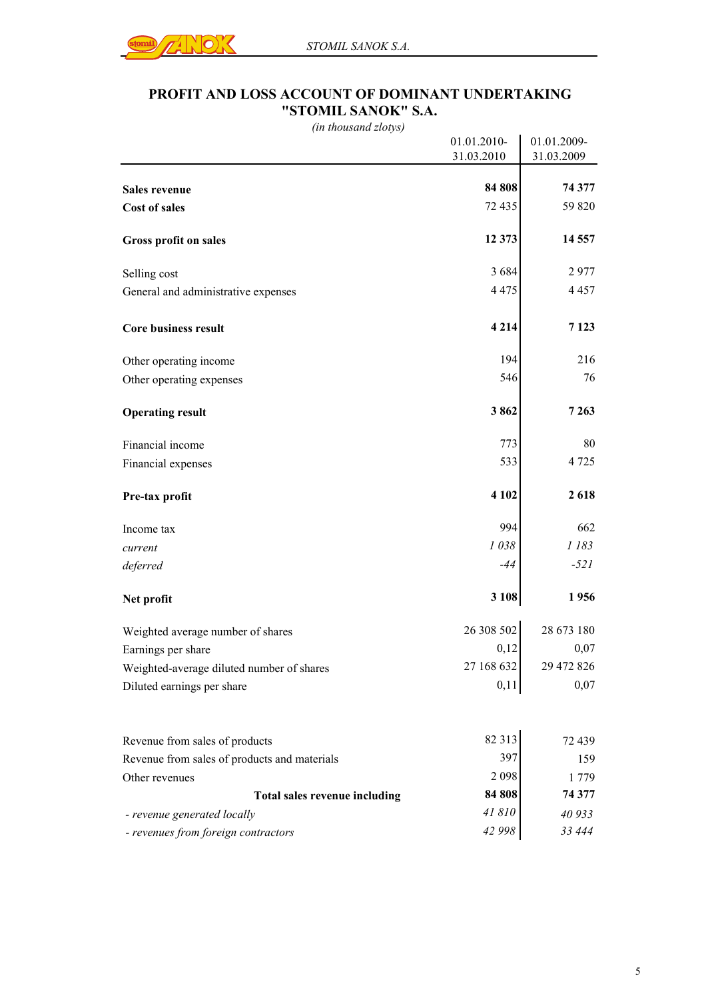

### **PROFIT AND LOSS ACCOUNT OF DOMINANT UNDERTAKING "STOMIL SANOK" S.A.**

|                                              | 01.01.2010- | 01.01.2009- |
|----------------------------------------------|-------------|-------------|
|                                              | 31.03.2010  | 31.03.2009  |
|                                              |             |             |
| Sales revenue                                | 84 808      | 74 377      |
| Cost of sales                                | 72 435      | 59 820      |
| Gross profit on sales                        | 12 373      | 14 5 57     |
| Selling cost                                 | 3684        | 2977        |
| General and administrative expenses          | 4 4 7 5     | 4457        |
| Core business result                         | 4 2 1 4     | 7 1 2 3     |
| Other operating income                       | 194         | 216         |
| Other operating expenses                     | 546         | 76          |
| <b>Operating result</b>                      | 3862        | 7263        |
| Financial income                             | 773         | 80          |
| Financial expenses                           | 533         | 4 7 2 5     |
| Pre-tax profit                               | 4 1 0 2     | 2618        |
| Income tax                                   | 994         | 662         |
| current                                      | 1038        | 1 183       |
| deferred                                     | -44         | $-521$      |
| Net profit                                   | 3 1 0 8     | 1956        |
| Weighted average number of shares            | 26 308 502  | 28 673 180  |
| Earnings per share                           | 0,12        | 0,07        |
| Weighted-average diluted number of shares    | 27 168 632  | 29 472 826  |
| Diluted earnings per share                   | 0,11        | 0,07        |
| Revenue from sales of products               | 82 313      | 72 439      |
| Revenue from sales of products and materials | 397         | 159         |
| Other revenues                               | 2098        | 1779        |
| Total sales revenue including                | 84 808      | 74 377      |
| - revenue generated locally                  | 41810       | 40 933      |
| - revenues from foreign contractors          | 42 998      | 33 444      |